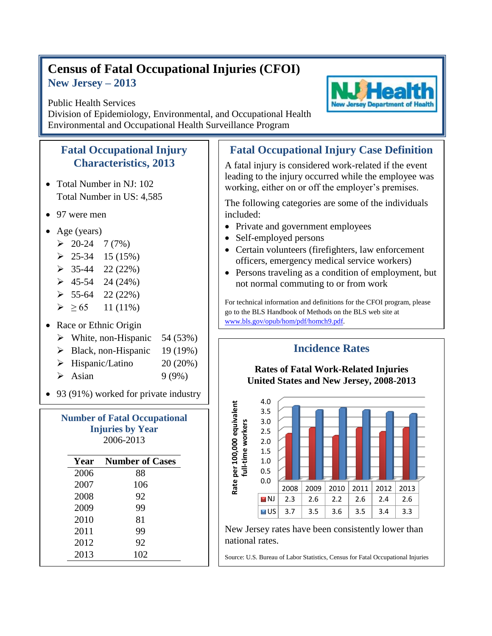## **Census of Fatal Occupational Injuries (CFOI) New Jersey – 2013**

## Public Health Services

Division of Epidemiology, Environmental, and Occupational Health Environmental and Occupational Health Surveillance Program

## **Fatal Occupational Injury Characteristics, 2013**

- Total Number in NJ: 102 Total Number in US: 4,585
- 97 were men
- Age (years)
	- $\geq 20-24$  7 (7%)
	- $\geq 25-34$  15 (15%)
	- $\geq$  35-44 22 (22%)
	- $\geq 45-54$  24 (24%)
	- $\geq 55-64$  22 (22%)
	- $\geq 65$  11 (11%)
- Race or Ethnic Origin
	- $\triangleright$  White, non-Hispanic 54 (53%)
	- $\triangleright$  Black, non-Hispanic 19 (19%)
	- $\triangleright$  Hispanic/Latino 20 (20%)
	- $\blacktriangleright$  Asian 9 (9%)
- 93 (91%) worked for private industry

| <b>Number of Fatal Occupational</b><br><b>Injuries by Year</b><br>2006-2013 |                        |  |
|-----------------------------------------------------------------------------|------------------------|--|
| Year                                                                        | <b>Number of Cases</b> |  |
| 2006                                                                        | 88                     |  |
| 2007                                                                        | 106                    |  |
| 2008                                                                        | 92                     |  |
| 2009                                                                        | 99                     |  |
| 2010                                                                        | 81                     |  |
| 2011                                                                        | 99                     |  |
| 2012                                                                        | 92                     |  |
| 2013                                                                        | 102                    |  |

## **Fatal Occupational Injury Case Definition**

A fatal injury is considered work-related if the event leading to the injury occurred while the employee was working, either on or off the employer's premises.

The following categories are some of the individuals included:

- Private and government employees
- Self-employed persons
- Certain volunteers (firefighters, law enforcement officers, emergency medical service workers)
- Persons traveling as a condition of employment, but not normal commuting to or from work

For technical information and definitions for the CFOI program, please go to the BLS Handbook of Methods on the BLS web site at [www.bls.gov/opub/hom/pdf/homch9.pdf.](file:///C:/WINNT/Profiles/borjan_m/Local%20Settings/Temporary%20Internet%20Files/Content.Outlook/9BTDUUSY/www.bls.gov/opub/hom/pdf/homch9.pdf)

**Incidence Rates**



New Jersey rates have been consistently lower than national rates.

Source: U.S. Bureau of Labor Statistics, Census for Fatal Occupational Injuries